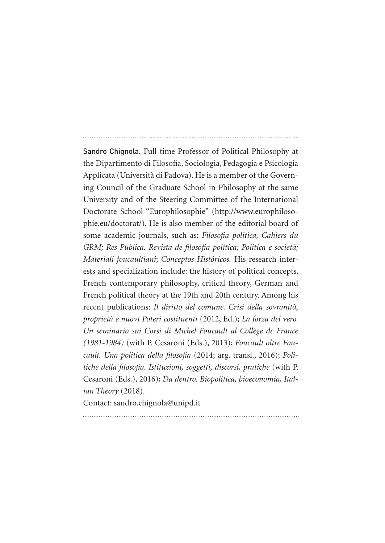Sandro Chignola. Full-time Professor of Political Philosophy at the Dipartimento di Filosofia, Sociologia, Pedagogia e Psicologia Applicata (Università di Padova). He is a member of the Governing Council of the Graduate School in Philosophy at the same University and of the Steering Committee of the International Doctorate School "Europhilosophie" (http://www.europhilosophie.eu/doctorat/). He is also member of the editorial board of some academic journals, such as: *Filosofia politica, Cahiers du GRM; Res Publica. Revista de filosofia política; Politica e società; Materiali foucaultiani*; *Conceptos Históricos.* His research interests and specialization include: the history of political concepts, French contemporary philosophy, critical theory, German and French political theory at the 19th and 20th century. Among his recent publications: *Il diritto del comune. Crisi della sovranità, proprietà e nuovi Poteri costituenti* (2012, Ed.); *La forza del vero. Un seminario sui Corsi di Michel Foucault al Collège de France (1981-1984)* (with P. Cesaroni (Eds.), 2013); *Foucault oltre Foucault. Una politica della filosofia* (2014; arg. transl., 2016); *Politiche della filosofia. Istituzioni, soggetti, discorsi, pratiche* (with P. Cesaroni (Eds.), 2016); *Da dentro. Biopolitica, bioeconomia, Italian Theory* (2018).

Contact: sandro.chignola@unipd.it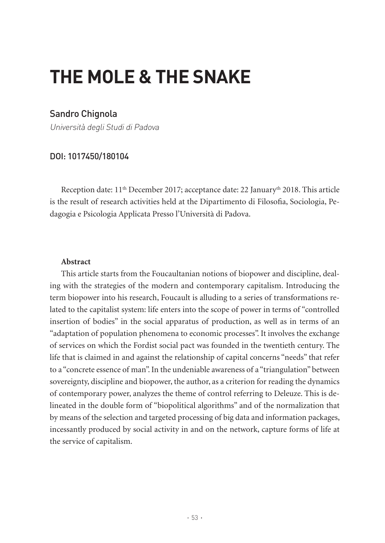# **THE MOLE & THE SNAKE**

# Sandro Chignola

Università degli Studi di Padova

## DOI: 1017450/180104

Reception date: 11th December 2017; acceptance date: 22 Januaryth 2018. This article is the result of research activities held at the Dipartimento di Filosofia, Sociologia, Pedagogia e Psicologia Applicata Presso l'Università di Padova.

#### **Abstract**

This article starts from the Foucaultanian notions of biopower and discipline, dealing with the strategies of the modern and contemporary capitalism. Introducing the term biopower into his research, Foucault is alluding to a series of transformations related to the capitalist system: life enters into the scope of power in terms of "controlled insertion of bodies" in the social apparatus of production, as well as in terms of an "adaptation of population phenomena to economic processes". It involves the exchange of services on which the Fordist social pact was founded in the twentieth century. The life that is claimed in and against the relationship of capital concerns "needs" that refer to a "concrete essence of man". In the undeniable awareness of a "triangulation" between sovereignty, discipline and biopower, the author, as a criterion for reading the dynamics of contemporary power, analyzes the theme of control referring to Deleuze. This is delineated in the double form of "biopolitical algorithms" and of the normalization that by means of the selection and targeted processing of big data and information packages, incessantly produced by social activity in and on the network, capture forms of life at the service of capitalism.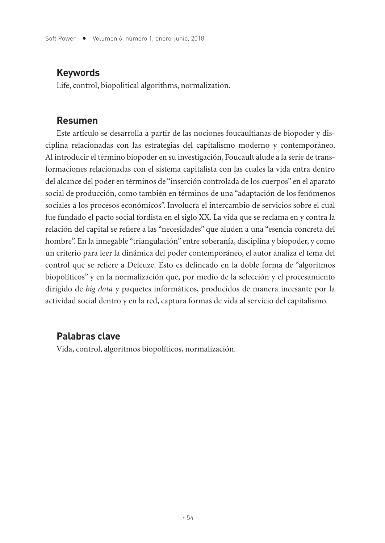## **Keywords**

Life, control, biopolitical algorithms, normalization.

## **Resumen**

Este artículo se desarrolla a partir de las nociones foucaultianas de biopoder y disciplina relacionadas con las estrategias del capitalismo moderno y contemporáneo. Al introducir el término biopoder en su investigación, Foucault alude a la serie de transformaciones relacionadas con el sistema capitalista con las cuales la vida entra dentro del alcance del poder en términos de "inserción controlada de los cuerpos" en el aparato social de producción, como también en términos de una "adaptación de los fenómenos sociales a los procesos económicos". Involucra el intercambio de servicios sobre el cual fue fundado el pacto social fordista en el siglo XX. La vida que se reclama en y contra la relación del capital se refiere a las "necesidades" que aluden a una "esencia concreta del hombre". En la innegable "triangulación" entre soberanía, disciplina y biopoder, y como un criterio para leer la dinámica del poder contemporáneo, el autor analiza el tema del control que se refiere a Deleuze. Esto es delineado en la doble forma de "algoritmos biopolíticos" y en la normalización que, por medio de la selección y el procesamiento dirigido de *big data* y paquetes informáticos, producidos de manera incesante por la actividad social dentro y en la red, captura formas de vida al servicio del capitalismo.

## **Palabras clave**

Vida, control, algoritmos biopolíticos, normalización.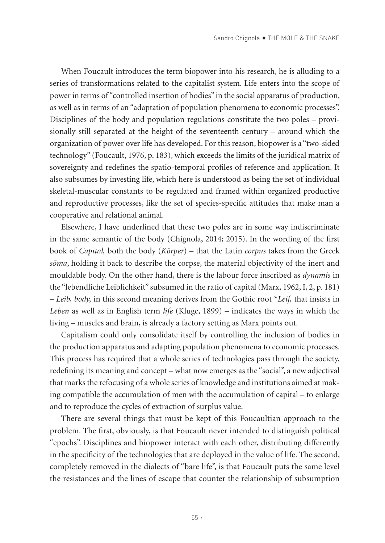When Foucault introduces the term biopower into his research, he is alluding to a series of transformations related to the capitalist system. Life enters into the scope of power in terms of "controlled insertion of bodies" in the social apparatus of production, as well as in terms of an "adaptation of population phenomena to economic processes". Disciplines of the body and population regulations constitute the two poles – provisionally still separated at the height of the seventeenth century – around which the organization of power over life has developed. For this reason, biopower is a "two-sided technology" (Foucault, 1976, p. 183), which exceeds the limits of the juridical matrix of sovereignty and redefines the spatio-temporal profiles of reference and application. It also subsumes by investing life, which here is understood as being the set of individual skeletal-muscular constants to be regulated and framed within organized productive and reproductive processes, like the set of species-specific attitudes that make man a cooperative and relational animal.

Elsewhere, I have underlined that these two poles are in some way indiscriminate in the same semantic of the body (Chignola, 2014; 2015). In the wording of the first book of *Capital,* both the body (*Körper*) – that the Latin *corpus* takes from the Greek *sōma*, holding it back to describe the corpse, the material objectivity of the inert and mouldable body. On the other hand, there is the labour force inscribed as *dynamis* in the "lebendliche Leiblichkeit" subsumed in the ratio of capital (Marx, 1962, I, 2, p. 181) – *Leib, body,* in this second meaning derives from the Gothic root \**Leif,* that insists in *Leben* as well as in English term *life* (Kluge, 1899) – indicates the ways in which the living – muscles and brain, is already a factory setting as Marx points out.

Capitalism could only consolidate itself by controlling the inclusion of bodies in the production apparatus and adapting population phenomena to economic processes. This process has required that a whole series of technologies pass through the society, redefining its meaning and concept – what now emerges as the "social", a new adjectival that marks the refocusing of a whole series of knowledge and institutions aimed at making compatible the accumulation of men with the accumulation of capital – to enlarge and to reproduce the cycles of extraction of surplus value.

There are several things that must be kept of this Foucaultian approach to the problem. The first, obviously, is that Foucault never intended to distinguish political "epochs". Disciplines and biopower interact with each other, distributing differently in the specificity of the technologies that are deployed in the value of life. The second, completely removed in the dialects of "bare life", is that Foucault puts the same level the resistances and the lines of escape that counter the relationship of subsumption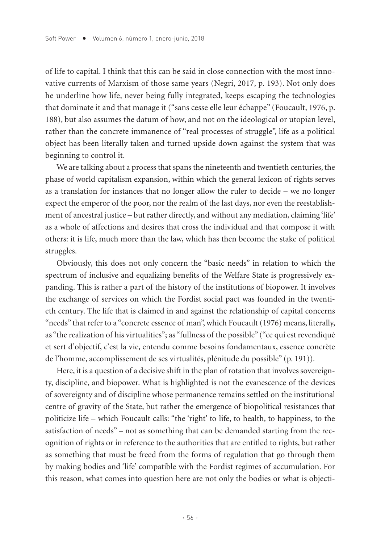of life to capital. I think that this can be said in close connection with the most innovative currents of Marxism of those same years (Negri, 2017, p. 193). Not only does he underline how life, never being fully integrated, keeps escaping the technologies that dominate it and that manage it ("sans cesse elle leur échappe" (Foucault, 1976, p. 188), but also assumes the datum of how, and not on the ideological or utopian level, rather than the concrete immanence of "real processes of struggle", life as a political object has been literally taken and turned upside down against the system that was beginning to control it.

We are talking about a process that spans the nineteenth and twentieth centuries, the phase of world capitalism expansion, within which the general lexicon of rights serves as a translation for instances that no longer allow the ruler to decide – we no longer expect the emperor of the poor, nor the realm of the last days, nor even the reestablishment of ancestral justice – but rather directly, and without any mediation, claiming 'life' as a whole of affections and desires that cross the individual and that compose it with others: it is life, much more than the law, which has then become the stake of political struggles.

Obviously, this does not only concern the "basic needs" in relation to which the spectrum of inclusive and equalizing benefits of the Welfare State is progressively expanding. This is rather a part of the history of the institutions of biopower. It involves the exchange of services on which the Fordist social pact was founded in the twentieth century. The life that is claimed in and against the relationship of capital concerns "needs" that refer to a "concrete essence of man", which Foucault (1976) means, literally, as "the realization of his virtualities"; as "fullness of the possible" ("ce qui est revendiqué et sert d'objectif, c'est la vie, entendu comme besoins fondamentaux, essence concrète de l'homme, accomplissement de ses virtualités, plénitude du possible" (p. 191)).

Here, it is a question of a decisive shift in the plan of rotation that involves sovereignty, discipline, and biopower. What is highlighted is not the evanescence of the devices of sovereignty and of discipline whose permanence remains settled on the institutional centre of gravity of the State, but rather the emergence of biopolitical resistances that politicize life – which Foucault calls: "the 'right' to life, to health, to happiness, to the satisfaction of needs" – not as something that can be demanded starting from the recognition of rights or in reference to the authorities that are entitled to rights, but rather as something that must be freed from the forms of regulation that go through them by making bodies and 'life' compatible with the Fordist regimes of accumulation. For this reason, what comes into question here are not only the bodies or what is objecti-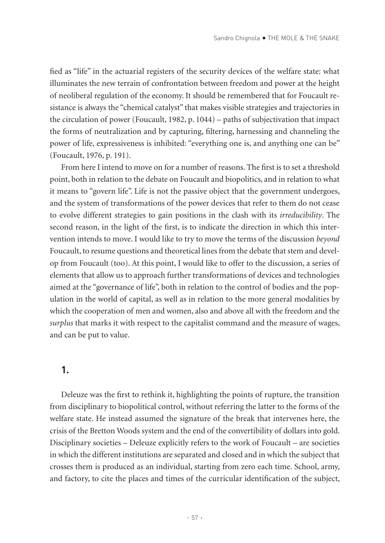fied as "life" in the actuarial registers of the security devices of the welfare state: what illuminates the new terrain of confrontation between freedom and power at the height of neoliberal regulation of the economy. It should be remembered that for Foucault resistance is always the "chemical catalyst" that makes visible strategies and trajectories in the circulation of power (Foucault, 1982, p. 1044) – paths of subjectivation that impact the forms of neutralization and by capturing, filtering, harnessing and channeling the power of life, expressiveness is inhibited: "everything one is, and anything one can be" (Foucault, 1976, p. 191).

From here I intend to move on for a number of reasons. The first is to set a threshold point, both in relation to the debate on Foucault and biopolitics, and in relation to what it means to "govern life". Life is not the passive object that the government undergoes, and the system of transformations of the power devices that refer to them do not cease to evolve different strategies to gain positions in the clash with its *irreducibility*. The second reason, in the light of the first, is to indicate the direction in which this intervention intends to move. I would like to try to move the terms of the discussion *beyond* Foucault, to resume questions and theoretical lines from the debate that stem and develop from Foucault (too). At this point, I would like to offer to the discussion, a series of elements that allow us to approach further transformations of devices and technologies aimed at the "governance of life", both in relation to the control of bodies and the population in the world of capital, as well as in relation to the more general modalities by which the cooperation of men and women, also and above all with the freedom and the *surplus* that marks it with respect to the capitalist command and the measure of wages, and can be put to value.

#### **1.**

Deleuze was the first to rethink it, highlighting the points of rupture, the transition from disciplinary to biopolitical control, without referring the latter to the forms of the welfare state. He instead assumed the signature of the break that intervenes here, the crisis of the Bretton Woods system and the end of the convertibility of dollars into gold. Disciplinary societies – Deleuze explicitly refers to the work of Foucault – are societies in which the different institutions are separated and closed and in which the subject that crosses them is produced as an individual, starting from zero each time. School, army, and factory, to cite the places and times of the curricular identification of the subject,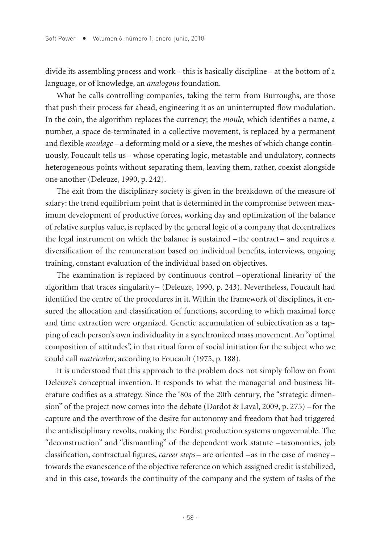divide its assembling process and work – this is basically discipline – at the bottom of a language, or of knowledge, an *analogous* foundation.

What he calls controlling companies, taking the term from Burroughs, are those that push their process far ahead, engineering it as an uninterrupted flow modulation. In the coin, the algorithm replaces the currency; the *moule,* which identifies a name, a number, a space de-terminated in a collective movement, is replaced by a permanent and flexible *moulage* –a deforming mold or a sieve, the meshes of which change continuously, Foucault tells us– whose operating logic, metastable and undulatory, connects heterogeneous points without separating them, leaving them, rather, coexist alongside one another (Deleuze, 1990, p. 242).

The exit from the disciplinary society is given in the breakdown of the measure of salary: the trend equilibrium point that is determined in the compromise between maximum development of productive forces, working day and optimization of the balance of relative surplus value, is replaced by the general logic of a company that decentralizes the legal instrument on which the balance is sustained –the contract– and requires a diversification of the remuneration based on individual benefits, interviews, ongoing training, constant evaluation of the individual based on objectives.

The examination is replaced by continuous control –operational linearity of the algorithm that traces singularity – (Deleuze, 1990, p. 243). Nevertheless, Foucault had identified the centre of the procedures in it. Within the framework of disciplines, it ensured the allocation and classification of functions, according to which maximal force and time extraction were organized. Genetic accumulation of subjectivation as a tapping of each person's own individuality in a synchronized mass movement. An "optimal composition of attitudes", in that ritual form of social initiation for the subject who we could call *matricular*, according to Foucault (1975, p. 188).

It is understood that this approach to the problem does not simply follow on from Deleuze's conceptual invention. It responds to what the managerial and business literature codifies as a strategy. Since the '80s of the 20th century, the "strategic dimension" of the project now comes into the debate (Dardot & Laval, 2009, p. 275) –for the capture and the overthrow of the desire for autonomy and freedom that had triggered the antidisciplinary revolts, making the Fordist production systems ungovernable. The "deconstruction" and "dismantling" of the dependent work statute – taxonomies, job classification, contractual figures, *career steps* – are oriented – as in the case of money – towards the evanescence of the objective reference on which assigned credit is stabilized, and in this case, towards the continuity of the company and the system of tasks of the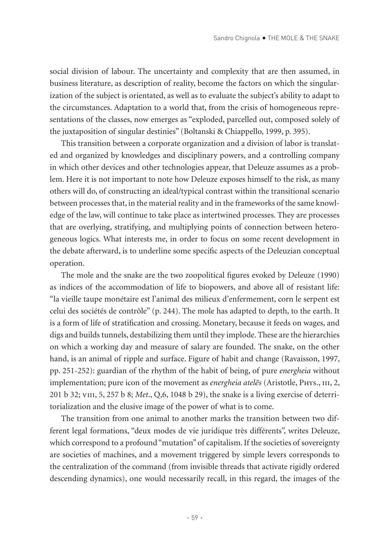social division of labour. The uncertainty and complexity that are then assumed, in business literature, as description of reality, become the factors on which the singularization of the subject is orientated, as well as to evaluate the subject's ability to adapt to the circumstances. Adaptation to a world that, from the crisis of homogeneous representations of the classes, now emerges as "exploded, parcelled out, composed solely of the juxtaposition of singular destinies" (Boltanski & Chiappello, 1999, p. 395).

This transition between a corporate organization and a division of labor is translated and organized by knowledges and disciplinary powers, and a controlling company in which other devices and other technologies appear, that Deleuze assumes as a problem. Here it is not important to note how Deleuze exposes himself to the risk, as many others will do, of constructing an ideal/typical contrast within the transitional scenario between processes that, in the material reality and in the frameworks of the same knowledge of the law, will continue to take place as intertwined processes. They are processes that are overlying, stratifying, and multiplying points of connection between heterogeneous logics. What interests me, in order to focus on some recent development in the debate afterward, is to underline some specific aspects of the Deleuzian conceptual operation.

The mole and the snake are the two zoopolitical figures evoked by Deleuze (1990) as indices of the accommodation of life to biopowers, and above all of resistant life: "la vieille taupe monétaire est l'animal des milieux d'enfermement, corn le serpent est celui des sociétés de contrôle" (p. 244). The mole has adapted to depth, to the earth. It is a form of life of stratification and crossing. Monetary, because it feeds on wages, and digs and builds tunnels, destabilizing them until they implode. These are the hierarchies on which a working day and measure of salary are founded. The snake, on the other hand, is an animal of ripple and surface. Figure of habit and change (Ravaisson, 1997, pp. 251-252): guardian of the rhythm of the habit of being, of pure *energheia* without implementation; pure icon of the movement as *energheia atelēs* (Aristotle, Phys., iii, 2, 201 b 32; viii, 5, 257 b 8; *Met*., Q,6, 1048 b 29), the snake is a living exercise of deterritorialization and the elusive image of the power of what is to come.

The transition from one animal to another marks the transition between two different legal formations, "deux modes de vie juridique très différents", writes Deleuze, which correspond to a profound "mutation" of capitalism. If the societies of sovereignty are societies of machines, and a movement triggered by simple levers corresponds to the centralization of the command (from invisible threads that activate rigidly ordered descending dynamics), one would necessarily recall, in this regard, the images of the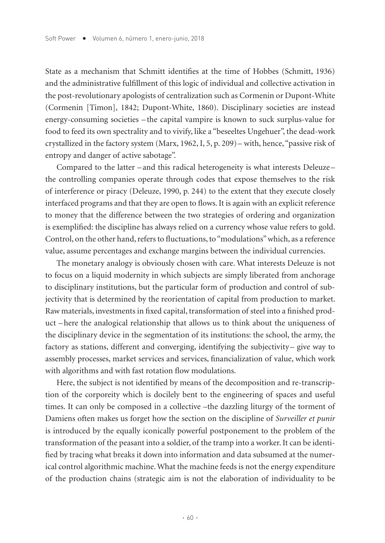State as a mechanism that Schmitt identifies at the time of Hobbes (Schmitt, 1936) and the administrative fulfillment of this logic of individual and collective activation in the post-revolutionary apologists of centralization such as Cormenin or Dupont-White (Cormenin [Timon], 1842; Dupont-White, 1860). Disciplinary societies are instead energy-consuming societies – the capital vampire is known to suck surplus-value for food to feed its own spectrality and to vivify, like a "beseeltes Ungehuer", the dead-work crystallized in the factory system (Marx, 1962, I, 5, p. 209)– with, hence, "passive risk of entropy and danger of active sabotage".

Compared to the latter –and this radical heterogeneity is what interests Deleuze– the controlling companies operate through codes that expose themselves to the risk of interference or piracy (Deleuze, 1990, p. 244) to the extent that they execute closely interfaced programs and that they are open to flows. It is again with an explicit reference to money that the difference between the two strategies of ordering and organization is exemplified: the discipline has always relied on a currency whose value refers to gold. Control, on the other hand, refers to fluctuations, to "modulations" which, as a reference value, assume percentages and exchange margins between the individual currencies.

The monetary analogy is obviously chosen with care. What interests Deleuze is not to focus on a liquid modernity in which subjects are simply liberated from anchorage to disciplinary institutions, but the particular form of production and control of subjectivity that is determined by the reorientation of capital from production to market. Raw materials, investments in fixed capital, transformation of steel into a finished product –here the analogical relationship that allows us to think about the uniqueness of the disciplinary device in the segmentation of its institutions: the school, the army, the factory as stations, different and converging, identifying the subjectivity – give way to assembly processes, market services and services, financialization of value, which work with algorithms and with fast rotation flow modulations.

Here, the subject is not identified by means of the decomposition and re-transcription of the corporeity which is docilely bent to the engineering of spaces and useful times. It can only be composed in a collective –the dazzling liturgy of the torment of Damiens often makes us forget how the section on the discipline of *Surveiller et punir* is introduced by the equally iconically powerful postponement to the problem of the transformation of the peasant into a soldier, of the tramp into a worker. It can be identified by tracing what breaks it down into information and data subsumed at the numerical control algorithmic machine. What the machine feeds is not the energy expenditure of the production chains (strategic aim is not the elaboration of individuality to be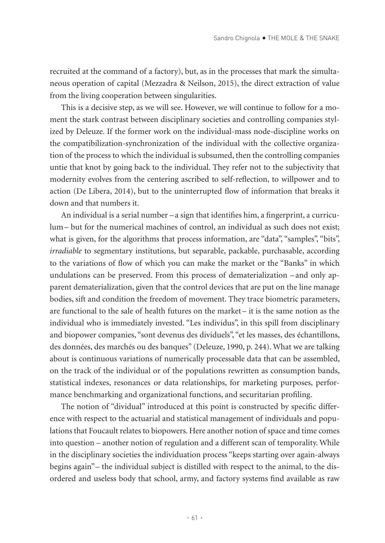recruited at the command of a factory), but, as in the processes that mark the simultaneous operation of capital (Mezzadra & Neilson, 2015), the direct extraction of value from the living cooperation between singularities.

This is a decisive step, as we will see. However, we will continue to follow for a moment the stark contrast between disciplinary societies and controlling companies stylized by Deleuze. If the former work on the individual-mass node-discipline works on the compatibilization-synchronization of the individual with the collective organization of the process to which the individual is subsumed, then the controlling companies untie that knot by going back to the individual. They refer not to the subjectivity that modernity evolves from the centering ascribed to self-reflection, to willpower and to action (De Libera, 2014), but to the uninterrupted flow of information that breaks it down and that numbers it.

An individual is a serial number –a sign that identifies him, a fingerprint, a curriculum– but for the numerical machines of control, an individual as such does not exist; what is given, for the algorithms that process information, are "data", "samples", "bits", *irradiable* to segmentary institutions, but separable, packable, purchasable, according to the variations of flow of which you can make the market or the "Banks" in which undulations can be preserved. From this process of dematerialization – and only apparent dematerialization, given that the control devices that are put on the line manage bodies, sift and condition the freedom of movement. They trace biometric parameters, are functional to the sale of health futures on the market – it is the same notion as the individual who is immediately invested. "Les individus", in this spill from disciplinary and biopower companies, "sont devenus des dividuels", "et les masses, des échantillons, des données, des marchés ou des banques" (Deleuze, 1990, p. 244). What we are talking about is continuous variations of numerically processable data that can be assembled, on the track of the individual or of the populations rewritten as consumption bands, statistical indexes, resonances or data relationships, for marketing purposes, performance benchmarking and organizational functions, and securitarian profiling.

The notion of "dividual" introduced at this point is constructed by specific difference with respect to the actuarial and statistical management of individuals and populations that Foucault relates to biopowers. Here another notion of space and time comes into question – another notion of regulation and a different scan of temporality. While in the disciplinary societies the individuation process "keeps starting over again-always begins again"– the individual subject is distilled with respect to the animal, to the disordered and useless body that school, army, and factory systems find available as raw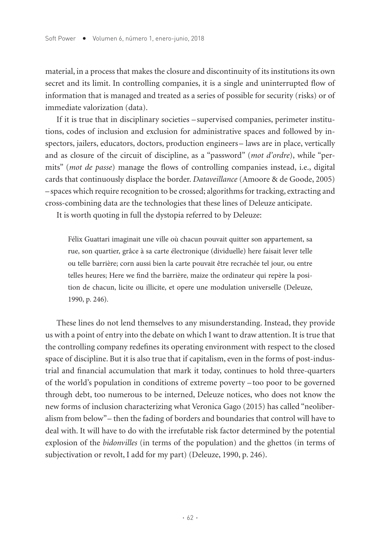material, in a process that makes the closure and discontinuity of its institutions its own secret and its limit. In controlling companies, it is a single and uninterrupted flow of information that is managed and treated as a series of possible for security (risks) or of immediate valorization (data).

If it is true that in disciplinary societies – supervised companies, perimeter institutions, codes of inclusion and exclusion for administrative spaces and followed by inspectors, jailers, educators, doctors, production engineers– laws are in place, vertically and as closure of the circuit of discipline, as a "password" (*mot d'ordre*), while "permits" (*mot de passe*) manage the flows of controlling companies instead, i.e., digital cards that continuously displace the border. *Dataveillance* (Amoore & de Goode, 2005) –spaces which require recognition to be crossed; algorithms for tracking, extracting and cross-combining data are the technologies that these lines of Deleuze anticipate.

It is worth quoting in full the dystopia referred to by Deleuze:

Félix Guattari imaginait une ville où chacun pouvait quitter son appartement, sa rue, son quartier, grâce à sa carte électronique (dividuelle) here faisait lever telle ou telle barrière; corn aussi bien la carte pouvait être recrachée tel jour, ou entre telles heures; Here we find the barrière, maize the ordinateur qui repère la position de chacun, licite ou illicite, et opere une modulation universelle (Deleuze, 1990, p. 246).

These lines do not lend themselves to any misunderstanding. Instead, they provide us with a point of entry into the debate on which I want to draw attention. It is true that the controlling company redefines its operating environment with respect to the closed space of discipline. But it is also true that if capitalism, even in the forms of post-industrial and financial accumulation that mark it today, continues to hold three-quarters of the world's population in conditions of extreme poverty – too poor to be governed through debt, too numerous to be interned, Deleuze notices, who does not know the new forms of inclusion characterizing what Veronica Gago (2015) has called "neoliberalism from below"– then the fading of borders and boundaries that control will have to deal with. It will have to do with the irrefutable risk factor determined by the potential explosion of the *bidonvilles* (in terms of the population) and the ghettos (in terms of subjectivation or revolt, I add for my part) (Deleuze, 1990, p. 246).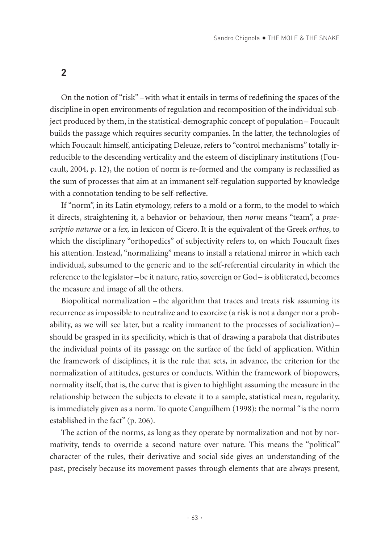On the notion of "risk" –with what it entails in terms of redefining the spaces of the discipline in open environments of regulation and recomposition of the individual subject produced by them, in the statistical-demographic concept of population– Foucault builds the passage which requires security companies. In the latter, the technologies of which Foucault himself, anticipating Deleuze, refers to "control mechanisms" totally irreducible to the descending verticality and the esteem of disciplinary institutions (Foucault, 2004, p. 12), the notion of norm is re-formed and the company is reclassified as the sum of processes that aim at an immanent self-regulation supported by knowledge with a connotation tending to be self-reflective.

If "norm", in its Latin etymology, refers to a mold or a form, to the model to which it directs, straightening it, a behavior or behaviour, then *norm* means "team", a *praescriptio naturae* or a *lex,* in lexicon of Cicero. It is the equivalent of the Greek *orthos*, to which the disciplinary "orthopedics" of subjectivity refers to, on which Foucault fixes his attention. Instead, "normalizing" means to install a relational mirror in which each individual, subsumed to the generic and to the self-referential circularity in which the reference to the legislator –be it nature, ratio, sovereign or God– is obliterated, becomes the measure and image of all the others.

Biopolitical normalization – the algorithm that traces and treats risk assuming its recurrence as impossible to neutralize and to exorcize (a risk is not a danger nor a probability, as we will see later, but a reality immanent to the processes of socialization)– should be grasped in its specificity, which is that of drawing a parabola that distributes the individual points of its passage on the surface of the field of application. Within the framework of disciplines, it is the rule that sets, in advance, the criterion for the normalization of attitudes, gestures or conducts. Within the framework of biopowers, normality itself, that is, the curve that is given to highlight assuming the measure in the relationship between the subjects to elevate it to a sample, statistical mean, regularity, is immediately given as a norm. To quote Canguilhem (1998): the normal "is the norm established in the fact" (p. 206).

The action of the norms, as long as they operate by normalization and not by normativity, tends to override a second nature over nature. This means the "political" character of the rules, their derivative and social side gives an understanding of the past, precisely because its movement passes through elements that are always present,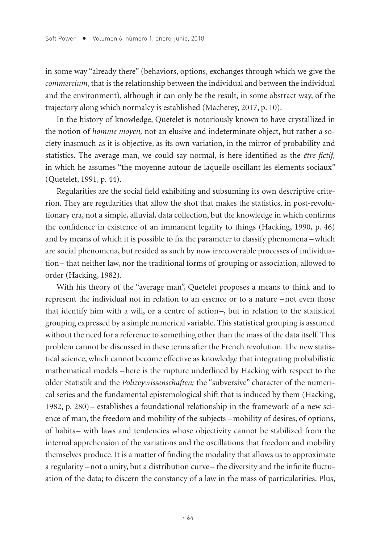in some way "already there" (behaviors, options, exchanges through which we give the *commercium*, that is the relationship between the individual and between the individual and the environment), although it can only be the result, in some abstract way, of the trajectory along which normalcy is established (Macherey, 2017, p. 10).

In the history of knowledge, Quetelet is notoriously known to have crystallized in the notion of *homme moyen,* not an elusive and indeterminate object, but rather a society inasmuch as it is objective, as its own variation, in the mirror of probability and statistics. The average man, we could say normal, is here identified as the *être fictif,* in which he assumes "the moyenne autour de laquelle oscillant les élements sociaux" (Quetelet, 1991, p. 44).

Regularities are the social field exhibiting and subsuming its own descriptive criterion. They are regularities that allow the shot that makes the statistics, in post-revolutionary era, not a simple, alluvial, data collection, but the knowledge in which confirms the confidence in existence of an immanent legality to things (Hacking, 1990, p. 46) and by means of which it is possible to fix the parameter to classify phenomena –which are social phenomena, but resided as such by now irrecoverable processes of individuation– that neither law, nor the traditional forms of grouping or association, allowed to order (Hacking, 1982).

With his theory of the "average man", Quetelet proposes a means to think and to represent the individual not in relation to an essence or to a nature –not even those that identify him with a will, or a centre of action–, but in relation to the statistical grouping expressed by a simple numerical variable. This statistical grouping is assumed without the need for a reference to something other than the mass of the data itself. This problem cannot be discussed in these terms after the French revolution. The new statistical science, which cannot become effective as knowledge that integrating probabilistic mathematical models –here is the rupture underlined by Hacking with respect to the older Statistik and the *Polizeywissenschaften;* the "subversive" character of the numerical series and the fundamental epistemological shift that is induced by them (Hacking, 1982, p. 280)– establishes a foundational relationship in the framework of a new science of man, the freedom and mobility of the subjects – mobility of desires, of options, of habits– with laws and tendencies whose objectivity cannot be stabilized from the internal apprehension of the variations and the oscillations that freedom and mobility themselves produce. It is a matter of finding the modality that allows us to approximate a regularity –not a unity, but a distribution curve– the diversity and the infinite fluctuation of the data; to discern the constancy of a law in the mass of particularities. Plus,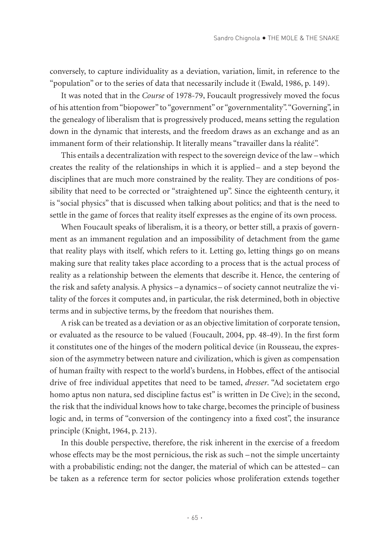conversely, to capture individuality as a deviation, variation, limit, in reference to the "population" or to the series of data that necessarily include it (Ewald, 1986, p. 149).

It was noted that in the *Course* of 1978-79, Foucault progressively moved the focus of his attention from "biopower" to "government" or "governmentality". "Governing", in the genealogy of liberalism that is progressively produced, means setting the regulation down in the dynamic that interests, and the freedom draws as an exchange and as an immanent form of their relationship. It literally means "travailler dans la réalité".

This entails a decentralization with respect to the sovereign device of the law –which creates the reality of the relationships in which it is applied– and a step beyond the disciplines that are much more constrained by the reality. They are conditions of possibility that need to be corrected or "straightened up". Since the eighteenth century, it is "social physics" that is discussed when talking about politics; and that is the need to settle in the game of forces that reality itself expresses as the engine of its own process.

When Foucault speaks of liberalism, it is a theory, or better still, a praxis of government as an immanent regulation and an impossibility of detachment from the game that reality plays with itself, which refers to it. Letting go, letting things go on means making sure that reality takes place according to a process that is the actual process of reality as a relationship between the elements that describe it. Hence, the centering of the risk and safety analysis. A physics –a dynamics– of society cannot neutralize the vitality of the forces it computes and, in particular, the risk determined, both in objective terms and in subjective terms, by the freedom that nourishes them.

A risk can be treated as a deviation or as an objective limitation of corporate tension, or evaluated as the resource to be valued (Foucault, 2004, pp. 48-49). In the first form it constitutes one of the hinges of the modern political device (in Rousseau, the expression of the asymmetry between nature and civilization, which is given as compensation of human frailty with respect to the world's burdens, in Hobbes, effect of the antisocial drive of free individual appetites that need to be tamed, *dresser*. "Ad societatem ergo homo aptus non natura, sed discipline factus est" is written in De Cive); in the second, the risk that the individual knows how to take charge, becomes the principle of business logic and, in terms of "conversion of the contingency into a fixed cost", the insurance principle (Knight, 1964, p. 213).

In this double perspective, therefore, the risk inherent in the exercise of a freedom whose effects may be the most pernicious, the risk as such – not the simple uncertainty with a probabilistic ending; not the danger, the material of which can be attested– can be taken as a reference term for sector policies whose proliferation extends together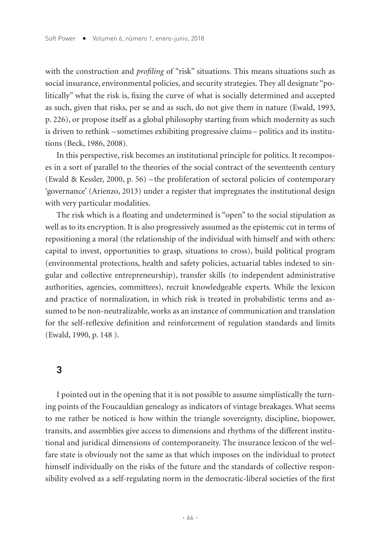with the construction and *profiling* of "risk" situations. This means situations such as social insurance, environmental policies, and security strategies. They all designate "politically" what the risk is, fixing the curve of what is socially determined and accepted as such, given that risks, per se and as such, do not give them in nature (Ewald, 1993, p. 226), or propose itself as a global philosophy starting from which modernity as such is driven to rethink –sometimes exhibiting progressive claims– politics and its institutions (Beck, 1986, 2008).

In this perspective, risk becomes an institutional principle for politics. It recomposes in a sort of parallel to the theories of the social contract of the seventeenth century (Ewald & Kessler, 2000, p. 56) – the proliferation of sectoral policies of contemporary 'governance' (Arienzo, 2013) under a register that impregnates the institutional design with very particular modalities.

The risk which is a floating and undetermined is "open" to the social stipulation as well as to its encryption. It is also progressively assumed as the epistemic cut in terms of repositioning a moral (the relationship of the individual with himself and with others: capital to invest, opportunities to grasp, situations to cross), build political program (environmental protections, health and safety policies, actuarial tables indexed to singular and collective entrepreneurship), transfer skills (to independent administrative authorities, agencies, committees), recruit knowledgeable experts. While the lexicon and practice of normalization, in which risk is treated in probabilistic terms and assumed to be non-neutralizable, works as an instance of communication and translation for the self-reflexive definition and reinforcement of regulation standards and limits (Ewald, 1990, p. 148 ).

#### **3**

I pointed out in the opening that it is not possible to assume simplistically the turning points of the Foucauldian genealogy as indicators of vintage breakages. What seems to me rather be noticed is how within the triangle sovereignty, discipline, biopower, transits, and assemblies give access to dimensions and rhythms of the different institutional and juridical dimensions of contemporaneity. The insurance lexicon of the welfare state is obviously not the same as that which imposes on the individual to protect himself individually on the risks of the future and the standards of collective responsibility evolved as a self-regulating norm in the democratic-liberal societies of the first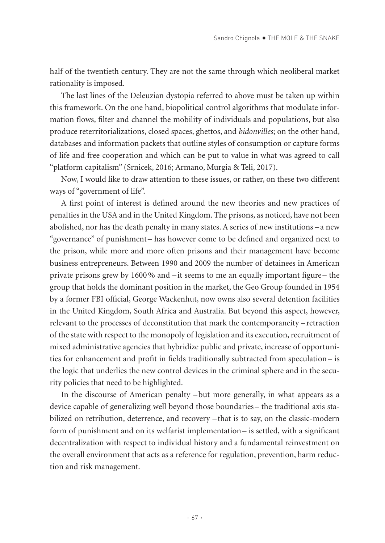half of the twentieth century. They are not the same through which neoliberal market rationality is imposed.

The last lines of the Deleuzian dystopia referred to above must be taken up within this framework. On the one hand, biopolitical control algorithms that modulate information flows, filter and channel the mobility of individuals and populations, but also produce reterritorializations, closed spaces, ghettos, and *bidonvilles*; on the other hand, databases and information packets that outline styles of consumption or capture forms of life and free cooperation and which can be put to value in what was agreed to call "platform capitalism" (Srnicek, 2016; Armano, Murgia & Teli, 2017).

Now, I would like to draw attention to these issues, or rather, on these two different ways of "government of life".

A first point of interest is defined around the new theories and new practices of penalties in the USA and in the United Kingdom. The prisons, as noticed, have not been abolished, nor has the death penalty in many states. A series of new institutions – a new "governance" of punishment– has however come to be defined and organized next to the prison, while more and more often prisons and their management have become business entrepreneurs. Between 1990 and 2009 the number of detainees in American private prisons grew by 1600% and –it seems to me an equally important figure– the group that holds the dominant position in the market, the Geo Group founded in 1954 by a former FBI official, George Wackenhut, now owns also several detention facilities in the United Kingdom, South Africa and Australia. But beyond this aspect, however, relevant to the processes of deconstitution that mark the contemporaneity – retraction of the state with respect to the monopoly of legislation and its execution, recruitment of mixed administrative agencies that hybridize public and private, increase of opportunities for enhancement and profit in fields traditionally subtracted from speculation– is the logic that underlies the new control devices in the criminal sphere and in the security policies that need to be highlighted.

In the discourse of American penalty –but more generally, in what appears as a device capable of generalizing well beyond those boundaries – the traditional axis stabilized on retribution, deterrence, and recovery –that is to say, on the classic-modern form of punishment and on its welfarist implementation– is settled, with a significant decentralization with respect to individual history and a fundamental reinvestment on the overall environment that acts as a reference for regulation, prevention, harm reduction and risk management.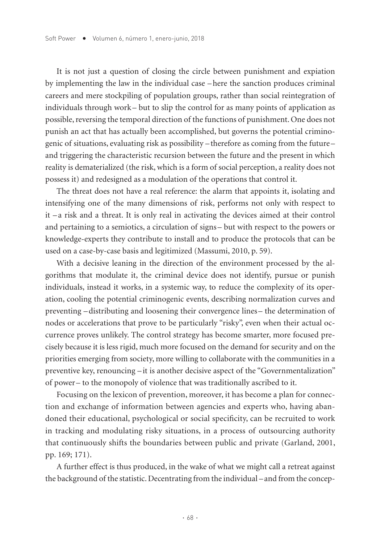It is not just a question of closing the circle between punishment and expiation by implementing the law in the individual case –here the sanction produces criminal careers and mere stockpiling of population groups, rather than social reintegration of individuals through work– but to slip the control for as many points of application as possible, reversing the temporal direction of the functions of punishment. One does not punish an act that has actually been accomplished, but governs the potential criminogenic of situations, evaluating risk as possibility –therefore as coming from the future– and triggering the characteristic recursion between the future and the present in which reality is dematerialized (the risk, which is a form of social perception, a reality does not possess it) and redesigned as a modulation of the operations that control it.

The threat does not have a real reference: the alarm that appoints it, isolating and intensifying one of the many dimensions of risk, performs not only with respect to it – a risk and a threat. It is only real in activating the devices aimed at their control and pertaining to a semiotics, a circulation of signs – but with respect to the powers or knowledge-experts they contribute to install and to produce the protocols that can be used on a case-by-case basis and legitimized (Massumi, 2010, p. 59).

With a decisive leaning in the direction of the environment processed by the algorithms that modulate it, the criminal device does not identify, pursue or punish individuals, instead it works, in a systemic way, to reduce the complexity of its operation, cooling the potential criminogenic events, describing normalization curves and preventing –distributing and loosening their convergence lines– the determination of nodes or accelerations that prove to be particularly "risky", even when their actual occurrence proves unlikely. The control strategy has become smarter, more focused precisely because it is less rigid, much more focused on the demand for security and on the priorities emerging from society, more willing to collaborate with the communities in a preventive key, renouncing – it is another decisive aspect of the "Governmentalization" of power – to the monopoly of violence that was traditionally ascribed to it.

Focusing on the lexicon of prevention, moreover, it has become a plan for connection and exchange of information between agencies and experts who, having abandoned their educational, psychological or social specificity, can be recruited to work in tracking and modulating risky situations, in a process of outsourcing authority that continuously shifts the boundaries between public and private (Garland, 2001, pp. 169; 171).

A further effect is thus produced, in the wake of what we might call a retreat against the background of the statistic. Decentrating from the individual –and from the concep-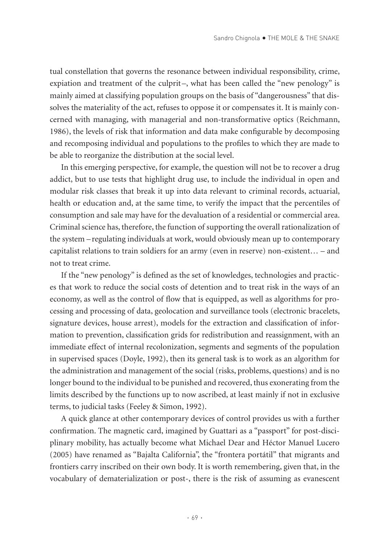tual constellation that governs the resonance between individual responsibility, crime, expiation and treatment of the culprit-, what has been called the "new penology" is mainly aimed at classifying population groups on the basis of "dangerousness" that dissolves the materiality of the act, refuses to oppose it or compensates it. It is mainly concerned with managing, with managerial and non-transformative optics (Reichmann, 1986), the levels of risk that information and data make configurable by decomposing and recomposing individual and populations to the profiles to which they are made to be able to reorganize the distribution at the social level.

In this emerging perspective, for example, the question will not be to recover a drug addict, but to use tests that highlight drug use, to include the individual in open and modular risk classes that break it up into data relevant to criminal records, actuarial, health or education and, at the same time, to verify the impact that the percentiles of consumption and sale may have for the devaluation of a residential or commercial area. Criminal science has, therefore, the function of supporting the overall rationalization of the system –regulating individuals at work, would obviously mean up to contemporary capitalist relations to train soldiers for an army (even in reserve) non-existent… – and not to treat crime.

If the "new penology" is defined as the set of knowledges, technologies and practices that work to reduce the social costs of detention and to treat risk in the ways of an economy, as well as the control of flow that is equipped, as well as algorithms for processing and processing of data, geolocation and surveillance tools (electronic bracelets, signature devices, house arrest), models for the extraction and classification of information to prevention, classification grids for redistribution and reassignment, with an immediate effect of internal recolonization, segments and segments of the population in supervised spaces (Doyle, 1992), then its general task is to work as an algorithm for the administration and management of the social (risks, problems, questions) and is no longer bound to the individual to be punished and recovered, thus exonerating from the limits described by the functions up to now ascribed, at least mainly if not in exclusive terms, to judicial tasks (Feeley & Simon, 1992).

A quick glance at other contemporary devices of control provides us with a further confirmation. The magnetic card, imagined by Guattari as a "passport" for post-disciplinary mobility, has actually become what Michael Dear and Héctor Manuel Lucero (2005) have renamed as "Bajalta California", the "frontera portátil" that migrants and frontiers carry inscribed on their own body. It is worth remembering, given that, in the vocabulary of dematerialization or post-, there is the risk of assuming as evanescent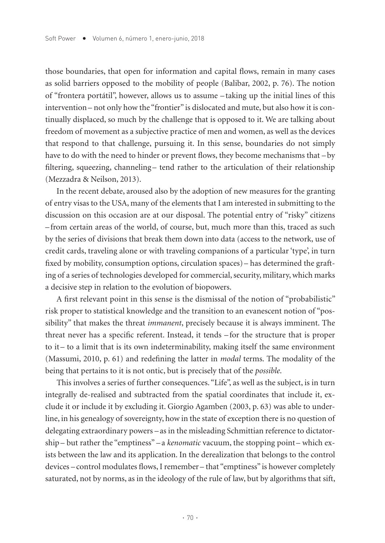those boundaries, that open for information and capital flows, remain in many cases as solid barriers opposed to the mobility of people (Balibar, 2002, p. 76). The notion of "frontera portátil", however, allows us to assume – taking up the initial lines of this intervention– not only how the "frontier" is dislocated and mute, but also how it is continually displaced, so much by the challenge that is opposed to it. We are talking about freedom of movement as a subjective practice of men and women, as well as the devices that respond to that challenge, pursuing it. In this sense, boundaries do not simply have to do with the need to hinder or prevent flows, they become mechanisms that  $-$  by filtering, squeezing, channeling- tend rather to the articulation of their relationship (Mezzadra & Neilson, 2013).

In the recent debate, aroused also by the adoption of new measures for the granting of entry visas to the USA, many of the elements that I am interested in submitting to the discussion on this occasion are at our disposal. The potential entry of "risky" citizens –from certain areas of the world, of course, but, much more than this, traced as such by the series of divisions that break them down into data (access to the network, use of credit cards, traveling alone or with traveling companions of a particular 'type', in turn fixed by mobility, consumption options, circulation spaces) – has determined the grafting of a series of technologies developed for commercial, security, military, which marks a decisive step in relation to the evolution of biopowers.

A first relevant point in this sense is the dismissal of the notion of "probabilistic" risk proper to statistical knowledge and the transition to an evanescent notion of "possibility" that makes the threat *immanent*, precisely because it is always imminent. The threat never has a specific referent. Instead, it tends – for the structure that is proper to it – to a limit that is its own indeterminability, making itself the same environment (Massumi, 2010, p. 61) and redefining the latter in *modal* terms. The modality of the being that pertains to it is not ontic, but is precisely that of the *possible*.

This involves a series of further consequences. "Life", as well as the subject, is in turn integrally de-realised and subtracted from the spatial coordinates that include it, exclude it or include it by excluding it. Giorgio Agamben (2003, p. 63) was able to underline, in his genealogy of sovereignty, how in the state of exception there is no question of delegating extraordinary powers –as in the misleading Schmittian reference to dictatorship– but rather the "emptiness" – a *kenomatic* vacuum, the stopping point – which exists between the law and its application. In the derealization that belongs to the control devices – control modulates flows, I remember – that "emptiness" is however completely saturated, not by norms, as in the ideology of the rule of law, but by algorithms that sift,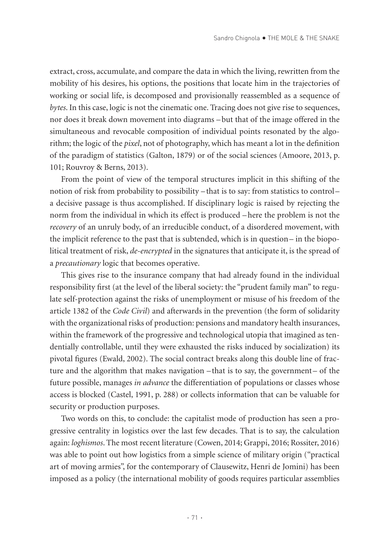extract, cross, accumulate, and compare the data in which the living, rewritten from the mobility of his desires, his options, the positions that locate him in the trajectories of working or social life, is decomposed and provisionally reassembled as a sequence of *bytes*. In this case, logic is not the cinematic one. Tracing does not give rise to sequences, nor does it break down movement into diagrams –but that of the image offered in the simultaneous and revocable composition of individual points resonated by the algorithm; the logic of the *pixel*, not of photography, which has meant a lot in the definition of the paradigm of statistics (Galton, 1879) or of the social sciences (Amoore, 2013, p. 101; Rouvroy & Berns, 2013).

From the point of view of the temporal structures implicit in this shifting of the notion of risk from probability to possibility – that is to say: from statistics to control – a decisive passage is thus accomplished. If disciplinary logic is raised by rejecting the norm from the individual in which its effect is produced –here the problem is not the *recovery* of an unruly body, of an irreducible conduct, of a disordered movement, with the implicit reference to the past that is subtended, which is in question– in the biopolitical treatment of risk, *de-encrypted* in the signatures that anticipate it, is the spread of a *precautionary* logic that becomes operative.

This gives rise to the insurance company that had already found in the individual responsibility first (at the level of the liberal society: the "prudent family man" to regulate self-protection against the risks of unemployment or misuse of his freedom of the article 1382 of the *Code Civil*) and afterwards in the prevention (the form of solidarity with the organizational risks of production: pensions and mandatory health insurances, within the framework of the progressive and technological utopia that imagined as tendentially controllable, until they were exhausted the risks induced by socialization) its pivotal figures (Ewald, 2002). The social contract breaks along this double line of fracture and the algorithm that makes navigation –that is to say, the government– of the future possible, manages *in advance* the differentiation of populations or classes whose access is blocked (Castel, 1991, p. 288) or collects information that can be valuable for security or production purposes.

Two words on this, to conclude: the capitalist mode of production has seen a progressive centrality in logistics over the last few decades. That is to say, the calculation again: *loghismos*. The most recent literature (Cowen, 2014; Grappi, 2016; Rossiter, 2016) was able to point out how logistics from a simple science of military origin ("practical art of moving armies", for the contemporary of Clausewitz, Henri de Jomini) has been imposed as a policy (the international mobility of goods requires particular assemblies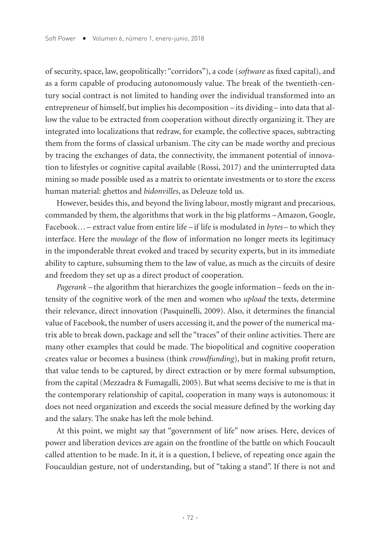of security, space, law, geopolitically: "corridors"), a code (*software* as fixed capital), and as a form capable of producing autonomously value. The break of the twentieth-century social contract is not limited to handing over the individual transformed into an entrepreneur of himself, but implies his decomposition – its dividing– into data that allow the value to be extracted from cooperation without directly organizing it. They are integrated into localizations that redraw, for example, the collective spaces, subtracting them from the forms of classical urbanism. The city can be made worthy and precious by tracing the exchanges of data, the connectivity, the immanent potential of innovation to lifestyles or cognitive capital available (Rossi, 2017) and the uninterrupted data mining so made possible used as a matrix to orientate investments or to store the excess human material: ghettos and *bidonvilles*, as Deleuze told us.

However, besides this, and beyond the living labour, mostly migrant and precarious, commanded by them, the algorithms that work in the big platforms –Amazon, Google, Facebook…– extract value from entire life –if life is modulated in *bytes* – to which they interface. Here the *moulage* of the flow of information no longer meets its legitimacy in the imponderable threat evoked and traced by security experts, but in its immediate ability to capture, subsuming them to the law of value, as much as the circuits of desire and freedom they set up as a direct product of cooperation.

*Pagerank* – the algorithm that hierarchizes the google information – feeds on the intensity of the cognitive work of the men and women who *upload* the texts, determine their relevance, direct innovation (Pasquinelli, 2009). Also, it determines the financial value of Facebook, the number of users accessing it, and the power of the numerical matrix able to break down, package and sell the "traces" of their online activities. There are many other examples that could be made. The biopolitical and cognitive cooperation creates value or becomes a business (think *crowdfunding*), but in making profit return, that value tends to be captured, by direct extraction or by mere formal subsumption, from the capital (Mezzadra & Fumagalli, 2005). But what seems decisive to me is that in the contemporary relationship of capital, cooperation in many ways is autonomous: it does not need organization and exceeds the social measure defined by the working day and the salary. The snake has left the mole behind.

At this point, we might say that "government of life" now arises. Here, devices of power and liberation devices are again on the frontline of the battle on which Foucault called attention to be made. In it, it is a question, I believe, of repeating once again the Foucauldian gesture, not of understanding, but of "taking a stand". If there is not and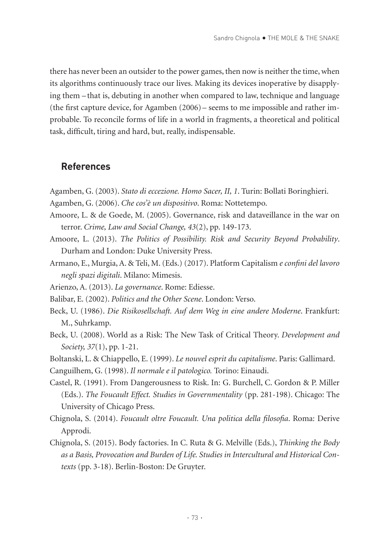there has never been an outsider to the power games, then now is neither the time, when its algorithms continuously trace our lives. Making its devices inoperative by disapplying them – that is, debuting in another when compared to law, technique and language (the first capture device, for Agamben (2006) – seems to me impossible and rather improbable. To reconcile forms of life in a world in fragments, a theoretical and political task, difficult, tiring and hard, but, really, indispensable.

## **References**

- Agamben, G. (2003). *Stato di eccezione. Homo Sacer, II, 1*. Turin: Bollati Boringhieri.
- Agamben, G. (2006). *Che cos'è un dispositivo*. Roma: Nottetempo.
- Amoore, L. & de Goede, M. (2005). Governance, risk and dataveillance in the war on terror. *Crime, Law and Social Change, 43*(2), pp. 149-173.
- Amoore, L. (2013). *The Politics of Possibility. Risk and Security Beyond Probability*. Durham and London: Duke University Press.
- Armano, E., Murgia, A. & Teli, M. (Eds.) (2017). Platform Capitalism *e confini del lavoro negli spazi digitali*. Milano: Mimesis.
- Arienzo, A. (2013). *La governance*. Rome: Ediesse.
- Balibar, E. (2002). *Politics and the Other Scene*. London: Verso.
- Beck, U. (1986). *Die Risikosellschaft. Auf dem Weg in eine andere Moderne*. Frankfurt: M., Suhrkamp.
- Beck, U. (2008). World as a Risk: The New Task of Critical Theory. *Development and Society, 37*(1), pp. 1-21.
- Boltanski, L. & Chiappello, E. (1999). *Le nouvel esprit du capitalisme*. Paris: Gallimard.
- Canguilhem, G. (1998). *Il normale e il patologico.* Torino: Einaudi.
- Castel, R. (1991). From Dangerousness to Risk. In: G. Burchell, C. Gordon & P. Miller (Eds.). *The Foucault Effect. Studies in Governmentality* (pp. 281-198). Chicago: The University of Chicago Press.
- Chignola, S. (2014). *Foucault oltre Foucault. Una politica della filosofia*. Roma: Derive Approdi.
- Chignola, S. (2015). Body factories. In C. Ruta & G. Melville (Eds.), *Thinking the Body as a Basis, Provocation and Burden of Life. Studies in Intercultural and Historical Contexts* (pp. 3-18). Berlin-Boston: De Gruyter.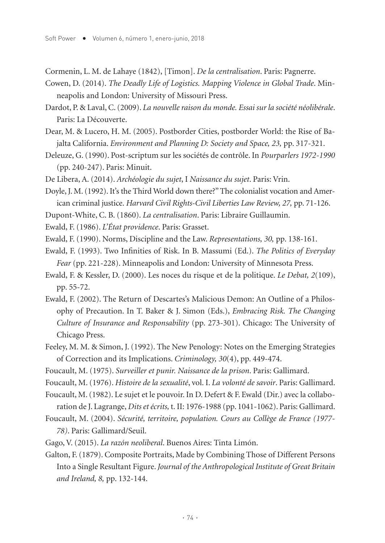Cormenin, L. M. de Lahaye (1842), [Timon]. *De la centralisation*. Paris: Pagnerre.

Cowen, D. (2014). *The Deadly Life of Logistics. Mapping Violence in Global Trade*. Minneapolis and London: University of Missouri Press.

Dardot, P. & Laval, C. (2009). *La nouvelle raison du monde. Essai sur la société néolibérale*. Paris: La Découverte.

- Dear, M. & Lucero, H. M. (2005). Postborder Cities, postborder World: the Rise of Bajalta California. *Environment and Planning D: Society and Space, 23,* pp. 317-321.
- Deleuze, G. (1990). Post-scriptum sur les sociétés de contrôle. In *Pourparlers 1972-1990*  (pp. 240-247). Paris: Minuit.
- De Libera, A. (2014). *Archéologie du sujet*, I *Naissance du sujet*. Paris: Vrin.

Doyle, J. M. (1992). It's the Third World down there?" The colonialist vocation and American criminal justice. *Harvard Civil Rights-Civil Liberties Law Review, 27,* pp. 71-126.

- Dupont-White, C. B. (1860). *La centralisation*. Paris: Libraire Guillaumin.
- Ewald, F. (1986). *L'État providence*. Paris: Grasset.
- Ewald, F. (1990). Norms, Discipline and the Law. *Representations, 30,* pp. 138-161.
- Ewald, F. (1993). Two Infinities of Risk. In B. Massumi (Ed.). *The Politics of Everyday Fear* (pp. 221-228). Minneapolis and London: University of Minnesota Press.
- Ewald, F. & Kessler, D. (2000). Les noces du risque et de la politique. *Le Debat, 2*(109), pp. 55-72.
- Ewald, F. (2002). The Return of Descartes's Malicious Demon: An Outline of a Philosophy of Precaution. In T. Baker & J. Simon (Eds.), *Embracing Risk. The Changing Culture of Insurance and Responsability* (pp. 273-301). Chicago: The University of Chicago Press.
- Feeley, M. M. & Simon, J. (1992). The New Penology: Notes on the Emerging Strategies of Correction and its Implications. *Criminology, 30*(4), pp. 449-474.
- Foucault, M. (1975). *Surveiller et punir. Naissance de la prison*. Paris: Gallimard.
- Foucault, M. (1976). *Histoire de la sexualité*, vol. I. *La volonté de savoir*. Paris: Gallimard.
- Foucault, M. (1982). Le sujet et le pouvoir. In D. Defert & F. Ewald (Dir.) avec la collaboration de J. Lagrange, *Dits et écrits,* t. II: 1976-1988 (pp. 1041-1062). Paris: Gallimard.
- Foucault, M. (2004). *Sécurité, territoire, population. Cours au Collège de France (1977- 78)*. Paris: Gallimard/Seuil.
- Gago, V. (2015). *La razón neoliberal*. Buenos Aires: Tinta Limón.
- Galton, F. (1879). Composite Portraits, Made by Combining Those of Different Persons Into a Single Resultant Figure. *Journal of the Anthropological Institute of Great Britain and Ireland, 8,* pp. 132-144.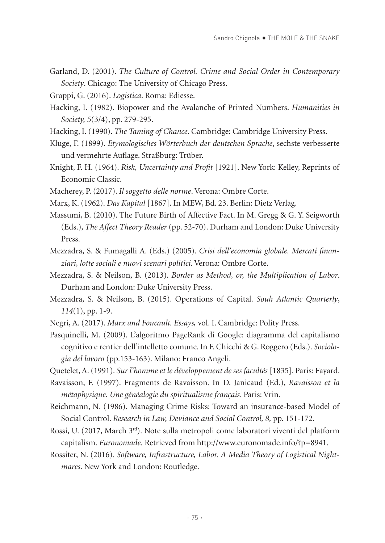- Garland, D. (2001). *The Culture of Control. Crime and Social Order in Contemporary Society*. Chicago: The University of Chicago Press.
- Grappi, G. (2016). *Logistica*. Roma: Ediesse.
- Hacking, I. (1982). Biopower and the Avalanche of Printed Numbers. *Humanities in Society, 5*(3/4), pp. 279-295.
- Hacking, I. (1990). *The Taming of Chance*. Cambridge: Cambridge University Press.
- Kluge, F. (1899). *Etymologisches Wörterbuch der deutschen Sprache*, sechste verbesserte und vermehrte Auflage. Straßburg: Trüber.
- Knight, F. H. (1964). *Risk, Uncertainty and Profit* [1921]. New York: Kelley, Reprints of Economic Classic.
- Macherey, P. (2017). *Il soggetto delle norme*. Verona: Ombre Corte.
- Marx, K. (1962). *Das Kapital* [1867]. In MEW, Bd. 23. Berlin: Dietz Verlag.
- Massumi, B. (2010). The Future Birth of Affective Fact. In M. Gregg & G. Y. Seigworth (Eds.), *The Affect Theory Reader* (pp. 52-70). Durham and London: Duke University Press.
- Mezzadra, S. & Fumagalli A. (Eds.) (2005). *Crisi dell'economia globale. Mercati finanziari, lotte sociali e nuovi scenari politici*. Verona: Ombre Corte.
- Mezzadra, S. & Neilson, B. (2013). *Border as Method, or, the Multiplication of Labor*. Durham and London: Duke University Press.
- Mezzadra, S. & Neilson, B. (2015). Operations of Capital. *Souh Atlantic Quarterly*, *114*(1), pp. 1-9.
- Negri, A. (2017). *Marx and Foucault. Essays,* vol. I. Cambridge: Polity Press.
- Pasquinelli, M. (2009). L'algoritmo PageRank di Google: diagramma del capitalismo cognitivo e rentier dell'intelletto comune. In F. Chicchi & G. Roggero (Eds.). *Sociologia del lavoro* (pp.153-163). Milano: Franco Angeli.
- Quetelet, A. (1991). *Sur l'homme et le développement de ses facultés* [1835]. Paris: Fayard.
- Ravaisson, F. (1997). Fragments de Ravaisson. In D. Janicaud (Ed.), *Ravaisson et la métaphysique. Une généalogie du spiritualisme français*. Paris: Vrin.
- Reichmann, N. (1986). Managing Crime Risks: Toward an insurance-based Model of Social Control. *Research in Law, Deviance and Social Control, 8,* pp. 151-172.
- Rossi, U. (2017, March 3rd). Note sulla metropoli come laboratori viventi del platform capitalism. *Euronomade.* Retrieved from http://www.euronomade.info/?p=8941.
- Rossiter, N. (2016). *Software, Infrastructure, Labor. A Media Theory of Logistical Nightmares*. New York and London: Routledge.